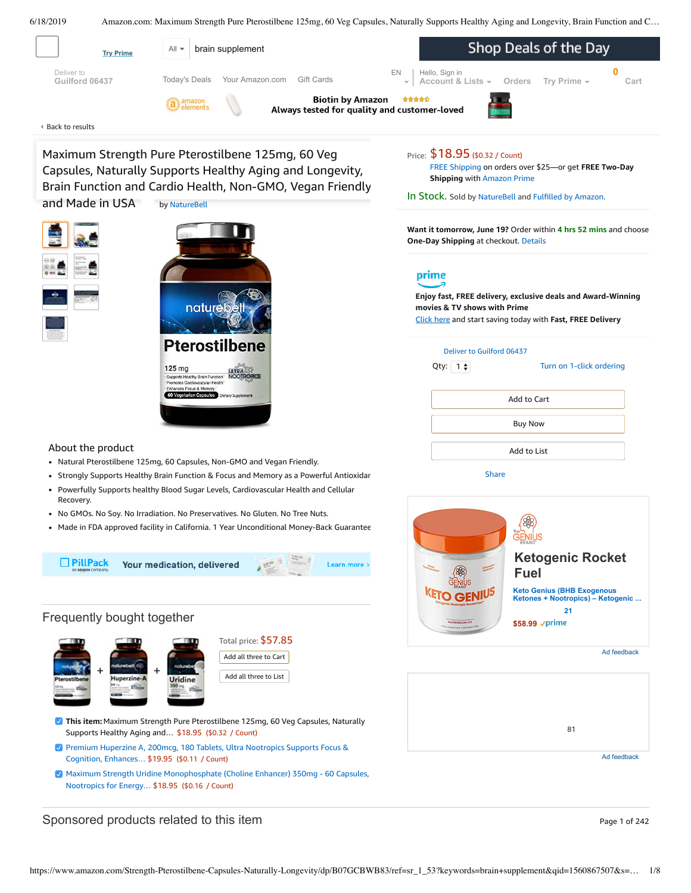<span id="page-0-0"></span>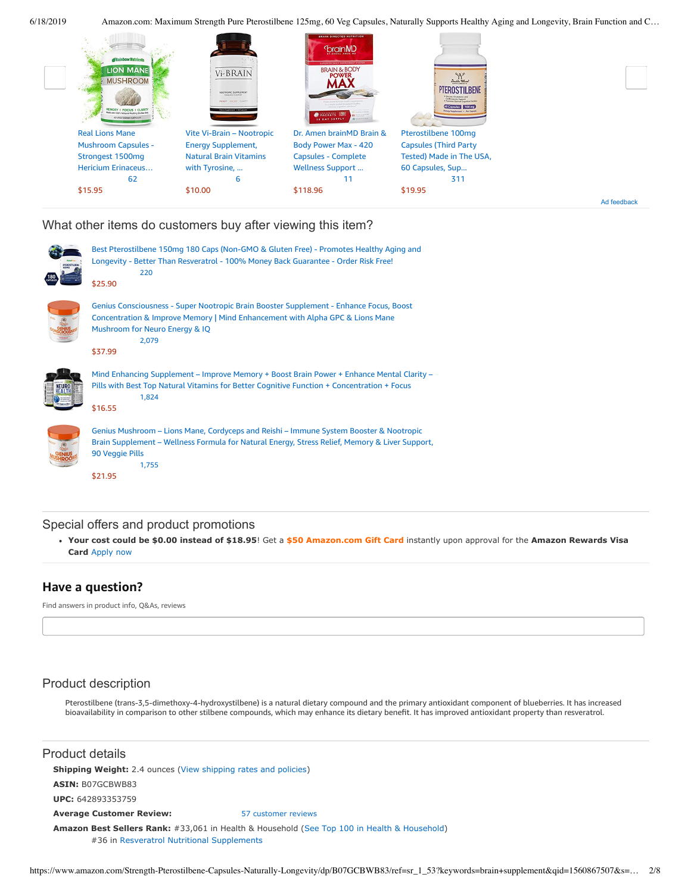

What other items do customers buy after viewing this item?



## Special offers and product promotions

**[Your cost could be \\$0.00 instead of \\$18.95](https://www.amazon.com/gp/cobrandcard/marketing.html?pr=con321&inc=50gcUnrec&ts=135mmaxi0fsbd7xdt3tbwhzcqlyd4gn&dasin=B07GCBWB83&plattr=math&place=detailpage&imp=3995df69-28fb-4231-977c-9fc3b532f320)**! Get a **\$50 Amazon.com Gift Card** instantly upon approval for the **Amazon Rewards Visa Card** Apply now

# **Have a question?**

Find answers in product info, Q&As, reviews

# Product description

Pterostilbene (trans-3,5-dimethoxy-4-hydroxystilbene) is a natural dietary compound and the primary antioxidant component of blueberries. It has increased bioavailability in comparison to other stilbene compounds, which may enhance its dietary benefit. It has improved antioxidant property than resveratrol.

Product details

**Shipping Weight:** 2.4 ounces [\(View shipping rates and policies\)](https://www.amazon.com/gp/help/seller/shipping.html/ref=dp_pd_shipping?ie=UTF8&asin=B07GCBWB83&seller=ATVPDKIKX0DER)

**ASIN:** B07GCBWB83

**UPC:** 642893353759

**Average Customer Review:** [57 customer reviews](https://www.amazon.com/product-reviews/B07GCBWB83/ref=acr_dpproductdetail_text?ie=UTF8&showViewpoints=1)

**Amazon Best Sellers Rank:** #33,061 in Health & Household ([See Top 100 in Health & Household\)](https://www.amazon.com/gp/bestsellers/hpc/ref=pd_zg_ts_hpc) #36 in [Resveratrol Nutritional Supplements](https://www.amazon.com/gp/bestsellers/hpc/3774141/ref=pd_zg_hrsr_hpc)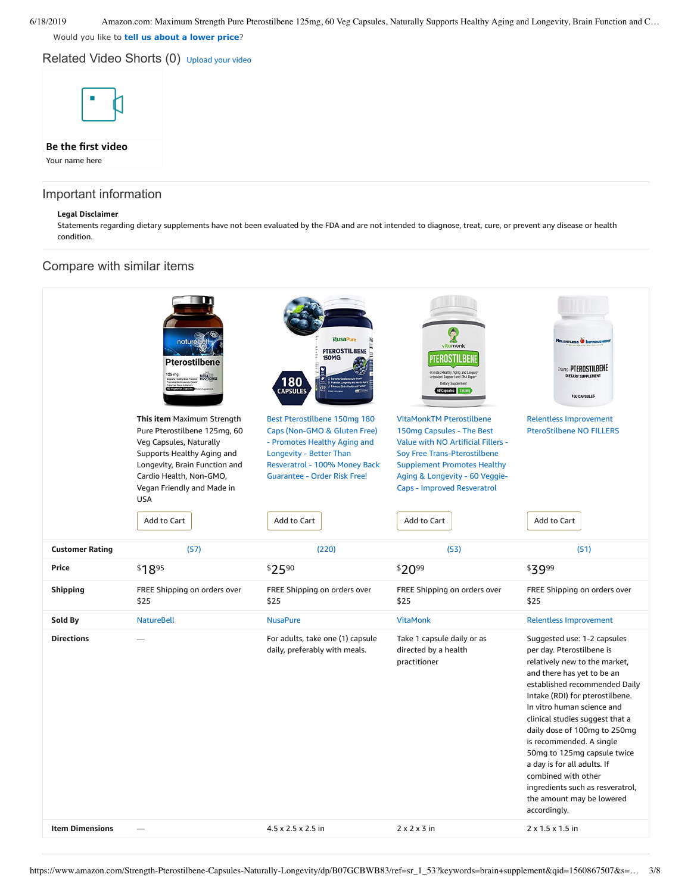Would you like to **tell us about a lower price**?

Related Video Shorts (0) [Upload](https://www.amazon.com/creatorhub/video/upload?productASIN=B07GCBWB83&referringURL=ZHAvQjA3R0NCV0I4Mw%3D%3D&ref=RVSW) your video



# Important information

## **Legal Disclaimer**

Statements regarding dietary supplements have not been evaluated by the FDA and are not intended to diagnose, treat, cure, or prevent any disease or health condition.

## Compare with similar items

|                        | nature<br><b>Pterostilbene</b>                                                                                                                                                                                                             | <b>NusaPure</b><br><b>PTEROSTILBENE</b><br><b>150MG</b><br>180<br>CAPSULES                                                                                                                                     | vitamonk<br>TEROSTILBENE<br>- Promotes Healthy Aging and Longeviy<br>- Antexidant Support and DNA Repair<br>Dietary Supplement<br>60 Capsules 150mg                                                                                                      | RELENTLESS <b>O IMPROVEN</b><br>trans-PTEROSTILBENE<br>DIETARY SUPPLEMENT<br><b>150 CAPSULES</b>                                                                                                                                                                                                                                                                                                                                                                                               |
|------------------------|--------------------------------------------------------------------------------------------------------------------------------------------------------------------------------------------------------------------------------------------|----------------------------------------------------------------------------------------------------------------------------------------------------------------------------------------------------------------|----------------------------------------------------------------------------------------------------------------------------------------------------------------------------------------------------------------------------------------------------------|------------------------------------------------------------------------------------------------------------------------------------------------------------------------------------------------------------------------------------------------------------------------------------------------------------------------------------------------------------------------------------------------------------------------------------------------------------------------------------------------|
|                        | This item Maximum Strength<br>Pure Pterostilbene 125mg, 60<br>Veg Capsules, Naturally<br>Supports Healthy Aging and<br>Longevity, Brain Function and<br>Cardio Health, Non-GMO,<br>Vegan Friendly and Made in<br><b>USA</b><br>Add to Cart | Best Pterostilbene 150mg 180<br>Caps (Non-GMO & Gluten Free)<br>- Promotes Healthy Aging and<br>Longevity - Better Than<br>Resveratrol - 100% Money Back<br><b>Guarantee - Order Risk Free!</b><br>Add to Cart | <b>VitaMonkTM Pterostilbene</b><br>150mg Capsules - The Best<br>Value with NO Artificial Fillers -<br>Soy Free Trans-Pterostilbene<br><b>Supplement Promotes Healthy</b><br>Aging & Longevity - 60 Veggie-<br>Caps - Improved Resveratrol<br>Add to Cart | <b>Relentless Improvement</b><br><b>PteroStilbene NO FILLERS</b><br>Add to Cart                                                                                                                                                                                                                                                                                                                                                                                                                |
|                        |                                                                                                                                                                                                                                            |                                                                                                                                                                                                                |                                                                                                                                                                                                                                                          |                                                                                                                                                                                                                                                                                                                                                                                                                                                                                                |
| <b>Customer Rating</b> | (57)                                                                                                                                                                                                                                       | (220)                                                                                                                                                                                                          | (53)                                                                                                                                                                                                                                                     | (51)                                                                                                                                                                                                                                                                                                                                                                                                                                                                                           |
| Price                  | \$1895                                                                                                                                                                                                                                     | \$2590                                                                                                                                                                                                         | \$2099                                                                                                                                                                                                                                                   | \$3999                                                                                                                                                                                                                                                                                                                                                                                                                                                                                         |
| <b>Shipping</b>        | FREE Shipping on orders over<br>\$25                                                                                                                                                                                                       | FREE Shipping on orders over<br>\$25                                                                                                                                                                           | FREE Shipping on orders over<br>\$25                                                                                                                                                                                                                     | FREE Shipping on orders over<br>\$25                                                                                                                                                                                                                                                                                                                                                                                                                                                           |
| Sold By                | <b>NatureBell</b>                                                                                                                                                                                                                          | <b>NusaPure</b>                                                                                                                                                                                                | <b>VitaMonk</b>                                                                                                                                                                                                                                          | <b>Relentless Improvement</b>                                                                                                                                                                                                                                                                                                                                                                                                                                                                  |
| <b>Directions</b>      |                                                                                                                                                                                                                                            | For adults, take one (1) capsule<br>daily, preferably with meals.                                                                                                                                              | Take 1 capsule daily or as<br>directed by a health<br>practitioner                                                                                                                                                                                       | Suggested use: 1-2 capsules<br>per day. Pterostilbene is<br>relatively new to the market,<br>and there has yet to be an<br>established recommended Daily<br>Intake (RDI) for pterostilbene.<br>In vitro human science and<br>clinical studies suggest that a<br>daily dose of 100mg to 250mg<br>is recommended. A single<br>50mg to 125mg capsule twice<br>a day is for all adults. If<br>combined with other<br>ingredients such as resveratrol,<br>the amount may be lowered<br>accordingly. |
|                        |                                                                                                                                                                                                                                            |                                                                                                                                                                                                                |                                                                                                                                                                                                                                                          |                                                                                                                                                                                                                                                                                                                                                                                                                                                                                                |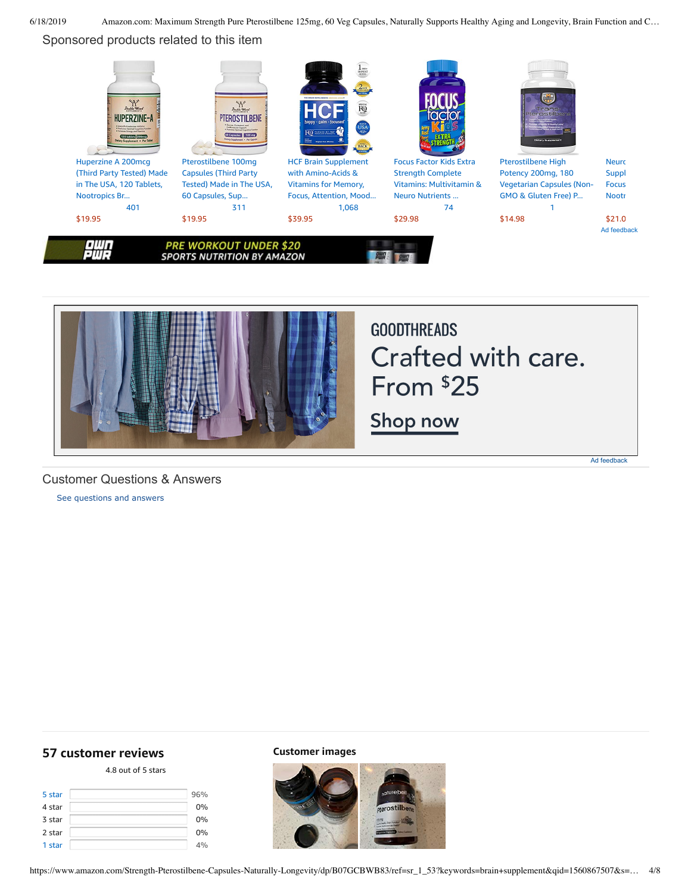## Sponsored products related to this item





# **GOODTHREADS** Crafted with care. From \$25

Shop now

Ad feedback

## Customer Questions & Answers

[See questions and answers](https://www.amazon.com/ask/questions/asin/B07GCBWB83/ref=cm_cd_dp_lla_ql_ll)

## <span id="page-3-0"></span>**[57 customer](https://www.amazon.com/Strength-Pterostilbene-Capsules-Naturally-Longevity/product-reviews/B07GCBWB83/ref=cm_cr_dp_d_show_all_top?ie=UTF8&reviewerType=all_reviews) reviews**

## 4.8 out of 5 [stars](javascript:void(0))

| 5 star | 96% |
|--------|-----|
| 4 star | 0%  |
| 3 star | 0%  |
| 2 star | 0%  |
| 1 star | 4%  |

**Customer images**

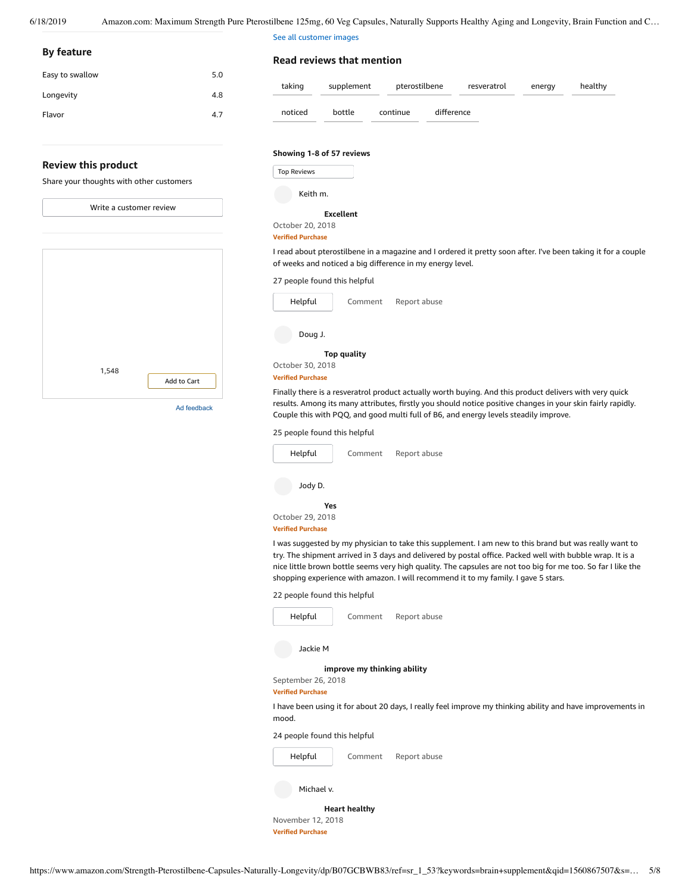See all customer images

Top Reviews **By feature Review this product** Share your thoughts with other customers [1,548](https://www.amazon.com/dp/B004U3Y9FU?ref=dacx_dp_3507780210401_4568274160101&me=ATVPDKIKX0DER&aaxitk=dFzNKqsbfLxZ.jZfPuZrSA) Add to [Cart](https://www.amazon.com/gp/product-ads/shared/utility/add-to-cart.html?ie=UTF8&token=A851327AD68D5B721C83ADC92A01B7660A7EDD37&time=1560867606407&merchantId=ATVPDKIKX0DER&asin=B004U3Y9FU&program=dads&adPrice=10.68&aaxitk=dFzNKqsbfLxZ.jZfPuZrSA) Easy to swallow 5.0 Longevity 4.8 Flavor 4.7 Write a [customer](https://www.amazon.com/review/create-review/ref=cm_cr_dp_d_wr_but_top?ie=UTF8&channel=glance-detail&asin=B07GCBWB83) review Ad feedback **Read reviews that mention** [taking](https://www.amazon.com/Strength-Pterostilbene-Capsules-Naturally-Longevity/product-reviews/B07GCBWB83/ref=cm_cr_dp_d_lh_0?ie=UTF8&filterByKeyword=taking&pageNumber=1&reviewerType=all_reviews#reviews-filter-bar) [supplement](https://www.amazon.com/Strength-Pterostilbene-Capsules-Naturally-Longevity/product-reviews/B07GCBWB83/ref=cm_cr_dp_d_lh_1?ie=UTF8&filterByKeyword=supplement&pageNumber=1&reviewerType=all_reviews#reviews-filter-bar) [pterostilbene](https://www.amazon.com/Strength-Pterostilbene-Capsules-Naturally-Longevity/product-reviews/B07GCBWB83/ref=cm_cr_dp_d_lh_2?ie=UTF8&filterByKeyword=pterostilbene&pageNumber=1&reviewerType=all_reviews#reviews-filter-bar) [resveratrol](https://www.amazon.com/Strength-Pterostilbene-Capsules-Naturally-Longevity/product-reviews/B07GCBWB83/ref=cm_cr_dp_d_lh_3?ie=UTF8&filterByKeyword=resveratrol&pageNumber=1&reviewerType=all_reviews#reviews-filter-bar) [energy](https://www.amazon.com/Strength-Pterostilbene-Capsules-Naturally-Longevity/product-reviews/B07GCBWB83/ref=cm_cr_dp_d_lh_4?ie=UTF8&filterByKeyword=energy&pageNumber=1&reviewerType=all_reviews#reviews-filter-bar) [healthy](https://www.amazon.com/Strength-Pterostilbene-Capsules-Naturally-Longevity/product-reviews/B07GCBWB83/ref=cm_cr_dp_d_lh_5?ie=UTF8&filterByKeyword=healthy&pageNumber=1&reviewerType=all_reviews#reviews-filter-bar) [noticed](https://www.amazon.com/Strength-Pterostilbene-Capsules-Naturally-Longevity/product-reviews/B07GCBWB83/ref=cm_cr_dp_d_lh_6?ie=UTF8&filterByKeyword=noticed&pageNumber=1&reviewerType=all_reviews#reviews-filter-bar) [bottle](https://www.amazon.com/Strength-Pterostilbene-Capsules-Naturally-Longevity/product-reviews/B07GCBWB83/ref=cm_cr_dp_d_lh_7?ie=UTF8&filterByKeyword=bottle&pageNumber=1&reviewerType=all_reviews#reviews-filter-bar) [continue](https://www.amazon.com/Strength-Pterostilbene-Capsules-Naturally-Longevity/product-reviews/B07GCBWB83/ref=cm_cr_dp_d_lh_8?ie=UTF8&filterByKeyword=continue&pageNumber=1&reviewerType=all_reviews#reviews-filter-bar) [difference](https://www.amazon.com/Strength-Pterostilbene-Capsules-Naturally-Longevity/product-reviews/B07GCBWB83/ref=cm_cr_dp_d_lh_9?ie=UTF8&filterByKeyword=difference&pageNumber=1&reviewerType=all_reviews#reviews-filter-bar) **Showing 1-8 of 57 reviews [Excellent](https://www.amazon.com/gp/customer-reviews/R3A3T9B1TE2YXA/ref=cm_cr_dp_d_rvw_ttl?ie=UTF8&ASIN=B07GCBWB83)** October 20, 2018 **Verified Purchase** 27 people found this helpful [Comment](https://www.amazon.com/gp/customer-reviews/R3A3T9B1TE2YXA/ref=cm_cr_dp_d_rvw_btm?ie=UTF8&ASIN=B07GCBWB83#wasThisHelpful) [Report](https://www.amazon.com/hz/reviews-render/report-abuse?ie=UTF8&voteDomain=Reviews&ref=cm_cr_dp_d_rvw_hlp&csrfT=gj6cMlwEK0BegnJGr3yrkq2I9eDTxnBZlyv2MAAAAAABAAAAAF0I8xtyYXcAAAAA%2B4kUEk%2F7iMGR3xPcX6iU&entityId=R3A3T9B1TE2YXA&sessionId=143-6729050-3493109) abuse Keith m. I read about pterostilbene in a magazine and I ordered it pretty soon after. I've been taking it for a couple of weeks and noticed a big difference in my energy level. [Helpful](https://www.amazon.com/ap/signin?openid.return_to=https%3A%2F%2Fwww.amazon.com%2Fdp%2FB07GCBWB83%2Fref%3Dcm_cr_dp_d_vote_lft%3Fie%3DUTF8%26voteInstanceId%3DR3A3T9B1TE2YXA%26voteValue%3D1%26csrfT%3Dgj6cMlwEK0BegnJGr3yrkq2I9eDTxnBZlyv2MAAAAAABAAAAAF0I8xtyYXcAAAAA%252B4kUEk%252F7iMGR3xPcX6iU%23R3A3T9B1TE2YXA&openid.identity=http%3A%2F%2Fspecs.openid.net%2Fauth%2F2.0%2Fidentifier_select&openid.claimed_id=http%3A%2F%2Fspecs.openid.net%2Fauth%2F2.0%2Fidentifier_select&openid.assoc_handle=usflex&openid.mode=checkid_setup&openid.ns=http%3A%2F%2Fspecs.openid.net%2Fauth%2F2.0) **Top [quality](https://www.amazon.com/gp/customer-reviews/R1ORMAIJ1BI626/ref=cm_cr_dp_d_rvw_ttl?ie=UTF8&ASIN=B07GCBWB83)** October 30, 2018 **Verified Purchase** 25 people found this helpful [Comment](https://www.amazon.com/gp/customer-reviews/R1ORMAIJ1BI626/ref=cm_cr_dp_d_rvw_btm?ie=UTF8&ASIN=B07GCBWB83#wasThisHelpful) [Report](https://www.amazon.com/hz/reviews-render/report-abuse?ie=UTF8&voteDomain=Reviews&ref=cm_cr_dp_d_rvw_hlp&csrfT=gjz9ccWr8SHzUfV8KGjwqSQVBuAUNYbtOflE6EkAAAABAAAAAF0I8xtyYXcAAAAA%2B4kUEk%2F7iMGR3xPcX6iU&entityId=R1ORMAIJ1BI626&sessionId=143-6729050-3493109) abuse Doug J. Finally there is a resveratrol product actually worth buying. And this product delivers with very quick results. Among its many attributes, firstly you should notice positive changes in your skin fairly rapidly. Couple this with PQQ, and good multi full of B6, and energy levels steadily improve. [Helpful](https://www.amazon.com/ap/signin?openid.return_to=https%3A%2F%2Fwww.amazon.com%2Fdp%2FB07GCBWB83%2Fref%3Dcm_cr_dp_d_vote_lft%3Fie%3DUTF8%26voteInstanceId%3DR1ORMAIJ1BI626%26voteValue%3D1%26csrfT%3Dgjz9ccWr8SHzUfV8KGjwqSQVBuAUNYbtOflE6EkAAAABAAAAAF0I8xtyYXcAAAAA%252B4kUEk%252F7iMGR3xPcX6iU%23R1ORMAIJ1BI626&openid.identity=http%3A%2F%2Fspecs.openid.net%2Fauth%2F2.0%2Fidentifier_select&openid.claimed_id=http%3A%2F%2Fspecs.openid.net%2Fauth%2F2.0%2Fidentifier_select&openid.assoc_handle=usflex&openid.mode=checkid_setup&openid.ns=http%3A%2F%2Fspecs.openid.net%2Fauth%2F2.0) **[Yes](https://www.amazon.com/gp/customer-reviews/R29D457PAPB2YE/ref=cm_cr_dp_d_rvw_ttl?ie=UTF8&ASIN=B07GCBWB83)** October 29, 2018 **Verified Purchase** 22 people found this helpful [Comment](https://www.amazon.com/gp/customer-reviews/R29D457PAPB2YE/ref=cm_cr_dp_d_rvw_btm?ie=UTF8&ASIN=B07GCBWB83#wasThisHelpful) [Report](https://www.amazon.com/hz/reviews-render/report-abuse?ie=UTF8&voteDomain=Reviews&ref=cm_cr_dp_d_rvw_hlp&csrfT=gku95VYW6dWre%2FwGekDMI8vGRuol6I1KtaZbBaYAAAABAAAAAF0I8xtyYXcAAAAA%2B4kUEk%2F7iMGR3xPcX6iU&entityId=R29D457PAPB2YE&sessionId=143-6729050-3493109) abuse Jody D. I was suggested by my physician to take this supplement. I am new to this brand but was really want to try. The shipment arrived in 3 days and delivered by postal office. Packed well with bubble wrap. It is a nice little brown bottle seems very high quality. The capsules are not too big for me too. So far I like the shopping experience with amazon. I will recommend it to my family. I gave 5 stars. [Helpful](https://www.amazon.com/ap/signin?openid.return_to=https%3A%2F%2Fwww.amazon.com%2Fdp%2FB07GCBWB83%2Fref%3Dcm_cr_dp_d_vote_lft%3Fie%3DUTF8%26voteInstanceId%3DR29D457PAPB2YE%26voteValue%3D1%26csrfT%3Dgku95VYW6dWre%252FwGekDMI8vGRuol6I1KtaZbBaYAAAABAAAAAF0I8xtyYXcAAAAA%252B4kUEk%252F7iMGR3xPcX6iU%23R29D457PAPB2YE&openid.identity=http%3A%2F%2Fspecs.openid.net%2Fauth%2F2.0%2Fidentifier_select&openid.claimed_id=http%3A%2F%2Fspecs.openid.net%2Fauth%2F2.0%2Fidentifier_select&openid.assoc_handle=usflex&openid.mode=checkid_setup&openid.ns=http%3A%2F%2Fspecs.openid.net%2Fauth%2F2.0) **improve my [thinking](https://www.amazon.com/gp/customer-reviews/R2D6R1OPU79T8A/ref=cm_cr_dp_d_rvw_ttl?ie=UTF8&ASIN=B07GCBWB83) ability** September 26, 2018 **Verified Purchase** 24 people found this helpful [Comment](https://www.amazon.com/gp/customer-reviews/R2D6R1OPU79T8A/ref=cm_cr_dp_d_rvw_btm?ie=UTF8&ASIN=B07GCBWB83#wasThisHelpful) [Report](https://www.amazon.com/hz/reviews-render/report-abuse?ie=UTF8&voteDomain=Reviews&ref=cm_cr_dp_d_rvw_hlp&csrfT=ggnp2hLWwI3tDzEvuRUxvYdaujcxvnjNgTqnveoAAAABAAAAAF0I8xtyYXcAAAAA%2B4kUEk%2F7iMGR3xPcX6iU&entityId=R2D6R1OPU79T8A&sessionId=143-6729050-3493109) abuse Jackie M I have been using it for about 20 days, I really feel improve my thinking ability and have improvements in mood. [Helpful](https://www.amazon.com/ap/signin?openid.return_to=https%3A%2F%2Fwww.amazon.com%2Fdp%2FB07GCBWB83%2Fref%3Dcm_cr_dp_d_vote_lft%3Fie%3DUTF8%26voteInstanceId%3DR2D6R1OPU79T8A%26voteValue%3D1%26csrfT%3Dggnp2hLWwI3tDzEvuRUxvYdaujcxvnjNgTqnveoAAAABAAAAAF0I8xtyYXcAAAAA%252B4kUEk%252F7iMGR3xPcX6iU%23R2D6R1OPU79T8A&openid.identity=http%3A%2F%2Fspecs.openid.net%2Fauth%2F2.0%2Fidentifier_select&openid.claimed_id=http%3A%2F%2Fspecs.openid.net%2Fauth%2F2.0%2Fidentifier_select&openid.assoc_handle=usflex&openid.mode=checkid_setup&openid.ns=http%3A%2F%2Fspecs.openid.net%2Fauth%2F2.0) **Heart [healthy](https://www.amazon.com/gp/customer-reviews/R2AB974KD80Q0V/ref=cm_cr_dp_d_rvw_ttl?ie=UTF8&ASIN=B07GCBWB83)** Michael v. Top Reviews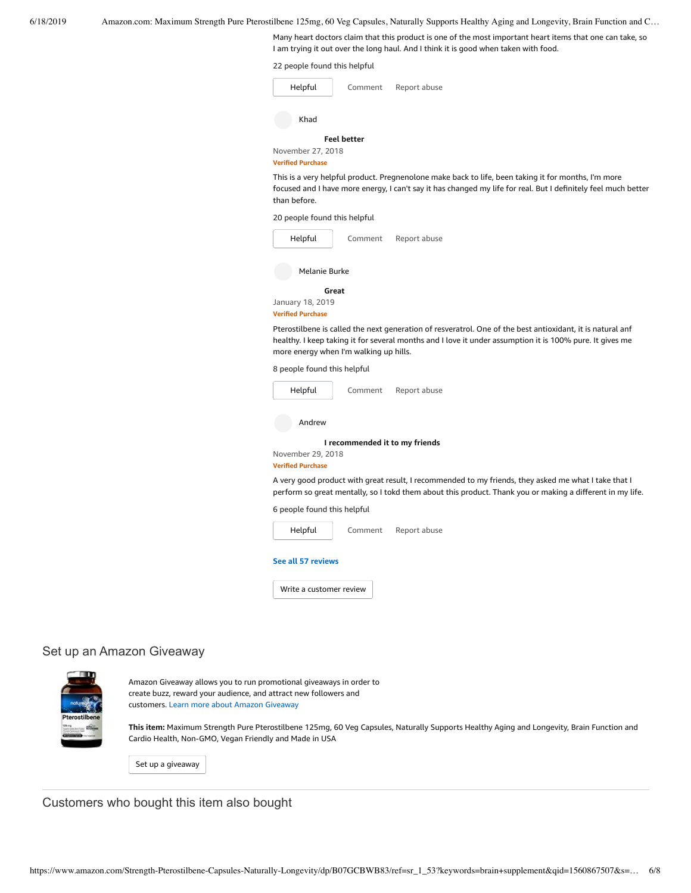Many heart doctors claim that this product is one of the most important heart items that one can take, so I am trying it out over the long haul. And I think it is good when taken with food.

|  |  |  |  | 22 people found this helpful |  |
|--|--|--|--|------------------------------|--|
|--|--|--|--|------------------------------|--|

| Helpful                                       | Comment            | Report abuse                                                                                                                                                                                                          |
|-----------------------------------------------|--------------------|-----------------------------------------------------------------------------------------------------------------------------------------------------------------------------------------------------------------------|
| Khad                                          |                    |                                                                                                                                                                                                                       |
| November 27, 2018<br><b>Verified Purchase</b> | <b>Feel better</b> |                                                                                                                                                                                                                       |
| than before.                                  |                    | This is a very helpful product. Pregnenolone make back to life, been taking it for months, I'm more<br>focused and I have more energy, I can't say it has changed my life for real. But I definitely feel much better |
| 20 people found this helpful                  |                    |                                                                                                                                                                                                                       |

| Helpful                  | Comment | Report abuse |  |  |  |
|--------------------------|---------|--------------|--|--|--|
| Melanie Burke            |         |              |  |  |  |
| Great                    |         |              |  |  |  |
| January 18, 2019         |         |              |  |  |  |
| <b>Verified Purchase</b> |         |              |  |  |  |

Pterostilbene is called the next generation of resveratrol. One of the best antioxidant, it is natural anf healthy. I keep taking it for several months and I love it under assumption it is 100% pure. It gives me more energy when I'm walking up hills.

8 people found this helpful

| Helpful | Comment | Report abuse |
|---------|---------|--------------|
|         |         |              |

Andrew

**I [recommended](https://www.amazon.com/gp/customer-reviews/R2QH8KF98PCAIT/ref=cm_cr_dp_d_rvw_ttl?ie=UTF8&ASIN=B07GCBWB83) it to my friends**

November 29, 2018

#### **Verified Purchase**

A very good product with great result, I recommended to my friends, they asked me what I take that I perform so great mentally, so I tokd them about this product. Thank you or making a different in my life.

6 people found this helpful



**See all 57 [reviews](https://www.amazon.com/Strength-Pterostilbene-Capsules-Naturally-Longevity/product-reviews/B07GCBWB83/ref=cm_cr_dp_d_show_all_btm?ie=UTF8&reviewerType=all_reviews)**

Write a [customer](https://www.amazon.com/review/create-review/ref=cm_cr_dp_d_wr_but_btm?ie=UTF8&channel=glance-detail&asin=B07GCBWB83) review

## Set up an Amazon Giveaway



Amazon Giveaway allows you to run promotional giveaways in order to create buzz, reward your audience, and attract new followers and customers. Learn more about Amazon [Giveaway](https://www.amazon.com/gp/giveaway/home?ref=aga_dp_lm)

**This item:** Maximum Strength Pure Pterostilbene 125mg, 60 Veg Capsules, Naturally Supports Healthy Aging and Longevity, Brain Function and Cardio Health, Non-GMO, Vegan Friendly and Made in USA

Set up a [giveaway](https://www.amazon.com/giveaway/host/setup/ref=aga_h_su_dp?_encoding=UTF8&asin=B07GCBWB83)

Customers who bought this item also bought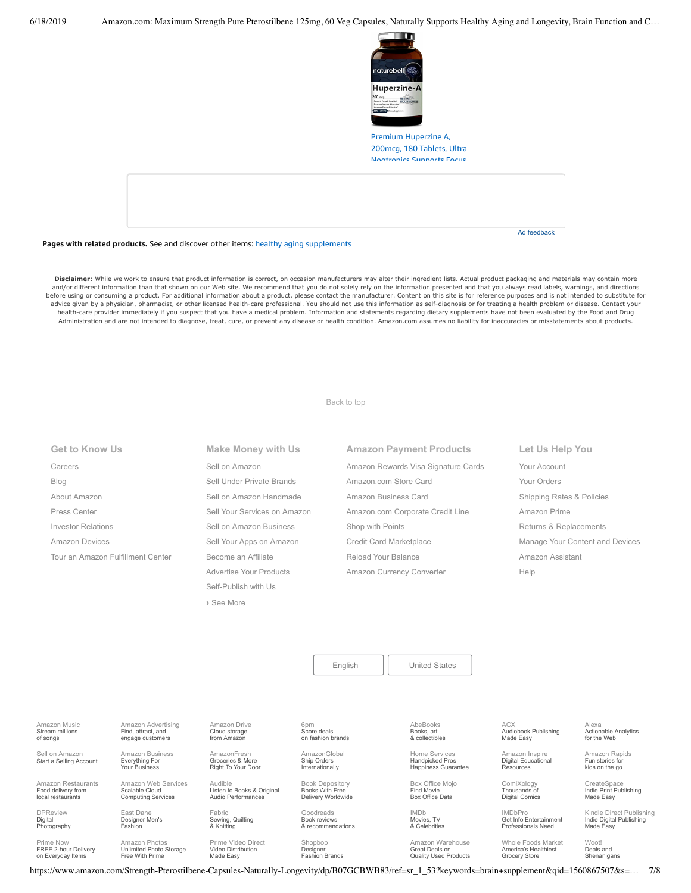

Premium [Huperzine](https://www.amazon.com/NatureBell-Huperzine-180-Softgels/dp/B07BKSH9GW/ref=pd_sim_121_1/143-6729050-3493109?_encoding=UTF8&pd_rd_i=B07BKSH9GW&pd_rd_r=2e87648b-91d4-11e9-a3bf-9515b83158d7&pd_rd_w=i1Z8r&pd_rd_wg=pSNWa&pf_rd_p=90485860-83e9-4fd9-b838-b28a9b7fda30&pf_rd_r=SFK2GMJ0Y3EMXASM3SB4&psc=1&refRID=SFK2GMJ0Y3EMXASM3SB4) A, 200mcg, 180 Tablets, Ultra Nootropics Supports Focus

**Pages with related products.** See and discover other items: healthy aging [supplements](https://www.amazon.com/slp/healthy-aging-supplements/decb8ytozkjj36k?_encoding=UTF8&ref_=fs_blw_d_clp_1)

Disclaimer: While we work to ensure that product information is correct, on occasion manufacturers may alter their ingredient lists. Actual product packaging and materials may contain more and/or different information than that shown on our Web site. We recommend that you do not solely rely on the information presented and that you always read labels, warnings, and directions<br>before using or consuming a prod advice given by a physician, pharmacist, or other licensed health-care professional. You should not use this information as self-diagnosis or for treating a health problem or disease. Contact your health-care provider immediately if you suspect that you have a medical problem. Information and statements regarding dietary supplements have not been evaluated by the Food and Drug Administration and are not intended to diagnose, treat, cure, or prevent any disease or health condition. Amazon.com assumes no liability for inaccuracies or misstatements about products.

### [Back to top](#page-0-0)

| <b>Get to Know Us</b>             | Make Money with Us           | <b>Amazon Payment Products</b>      | Let Us Help You                 |
|-----------------------------------|------------------------------|-------------------------------------|---------------------------------|
| Careers                           | Sell on Amazon               | Amazon Rewards Visa Signature Cards | Your Account                    |
| Blog                              | Sell Under Private Brands    | Amazon.com Store Card               | Your Orders                     |
| About Amazon                      | Sell on Amazon Handmade      | Amazon Business Card                | Shipping Rates & Policies       |
| Press Center                      | Sell Your Services on Amazon | Amazon.com Corporate Credit Line    | Amazon Prime                    |
| <b>Investor Relations</b>         | Sell on Amazon Business      | Shop with Points                    | Returns & Replacements          |
| <b>Amazon Devices</b>             | Sell Your Apps on Amazon     | Credit Card Marketplace             | Manage Your Content and Devices |
| Tour an Amazon Fulfillment Center | Become an Affiliate          | Reload Your Balance                 | Amazon Assistant                |
|                                   | Advertise Your Products      | Amazon Currency Converter           | Help                            |
|                                   | Self-Publish with Us         |                                     |                                 |
|                                   |                              |                                     |                                 |

| Amazon Music<br>Stream millions<br>of songs | Amazon Advertising<br>Find, attract, and<br>engage customers | Amazon Drive<br>Cloud storage<br>from Amazon         |
|---------------------------------------------|--------------------------------------------------------------|------------------------------------------------------|
| Sell on Amazon<br>Start a Selling Account   | Amazon Business<br>Everything For<br>Your Business           | AmazonFresh<br>Groceries & More<br>Right To Your Doc |

Fashion

Amazon Photos [Unlimited Photo Storage](https://www.amazon.com/STRING-subnav-prime-photos/b?ie=UTF8&node=13234696011&ref_=gno_p_foot) Free With Prime

[Amazon Restaurants](https://primenow.amazon.com/restaurants?ref_=amzrst_nav_footer) Food delivery from local restaurants

DPReview Digital [Photography](https://www.dpreview.com/)

Prime Now FREE 2-hour Delivery on Everyday Items

[Amazon Web Services](https://aws.amazon.com/what-is-cloud-computing/?sc_channel=EL&sc_campaign=amazonfooter) Scalable Cloud Computing Services

East Dane [Designer Men's](https://www.eastdane.com/welcome) Fabric [Sewing, Quilting](https://www.fabric.com/) & Knitting

> [Prime Video Direct](https://videodirect.amazon.com/home/landing) Video Distribution Made Easy

[Right To Your Door](https://www.amazon.com/AmazonFresh/b?ie=UTF8&node=10329849011&ref_=footer_aff_fresh)

Listen to Books & Original Audio Performances

[Audible](https://www.audible.com/)

**›** [See More](https://www.amazon.com/b/?_encoding=UTF8&ld=AZUSSOA-seemore&node=18190131011&ref_=footer_seemore)

Shopbop Designer [Fashion Brands](https://www.shopbop.com/welcome)

Goodreads Book reviews [& recommendations](https://www.goodreads.com/)

6pm Score deals [on fashion brands](https://www.6pm.com/)

[AmazonGlobal](https://www.amazon.com/International-Shipping-Direct/b?ie=UTF8&node=230659011&ref_=footer_amazonglobal) Ship Orders **Internationally** 

[Book Depository](https://www.bookdepository.com/) Books With Free Delivery Worldwide AbeBooks Books, art [& collectibles](https://www.abebooks.com/)

[English](https://www.amazon.com/gp/customer-preferences/select-language/ref=footer_lang?ie=UTF8&preferencesReturnUrl=%2FStrength-Pterostilbene-Capsules-Naturally-Longevity%2Fdp%2FB07GCBWB83%2Fref%3Dsr_1_53%3Fkeywords%3Dbrain%2Bsupplement%26qid%3D1560867507%26s%3Dgateway%26sr%3D8-53) | [United States](https://www.amazon.com/gp/navigation-country/select-country/ref=?ie=UTF8&preferencesReturnUrl=%2FStrength-Pterostilbene-Capsules-Naturally-Longevity%2Fdp%2FB07GCBWB83%2Fref%3Dsr_1_53%3Fkeywords%3Dbrain%2Bsupplement%26qid%3D1560867507%26s%3Dgateway%26sr%3D8-53)

Home Services Handpicked Pros [Happiness Guarantee](https://www.amazon.com/services?_encoding=UTF8&ref_=footer_services)

[Box Office Mojo](https://www.boxofficemojo.com/?ref_=amzn_nav_ftr) Find Movie Box Office Data

IMDb Movies, TV [& Celebrities](https://www.imdb.com/)

[Amazon Warehouse](https://www.amazon.com/Warehouse-Deals/b?ie=UTF8&node=10158976011&ref_=footer_wrhsdls)

Great Deals on Quality Used Products ACX [Audiobook Publishing](https://www.acx.com/) Made Easy

[Amazon Inspire](https://www.amazoninspire.com/?ref=amazon_footer) Digital Educational Resources

[Whole Foods Market](https://www.wholefoodsmarket.com/) America's Healthiest Grocery Store

[ComiXology](https://www.comixology.com/) Thousands of Digital Comics

IMDbPro [Get Info Entertainment](https://pro.imdb.com/?ref_=amzn_nav_ftr) Professionals Need

Ad feedback

Alexa [Actionable Analytics](https://www.alexa.com/) for the Web

[Amazon Rapids](https://rapids.amazon.com/?ref=rapids_acq_gatewayfooter) Fun stories for kids on the go

**CreateSpace** [Indie Print Publishing](https://www.createspace.com/) Made Easy

[Kindle Direct Publishing](https://kdp.amazon.com/) Indie Digital Publishing Made Easy

Woot! Deals and [Shenanigans](https://www.woot.com/)

https://www.amazon.com/Strength-Pterostilbene-Capsules-Naturally-Longevity/dp/B07GCBWB83/ref=sr\_1\_53?keywords=brain+supplement&qid=1560867507&s=… 7/8